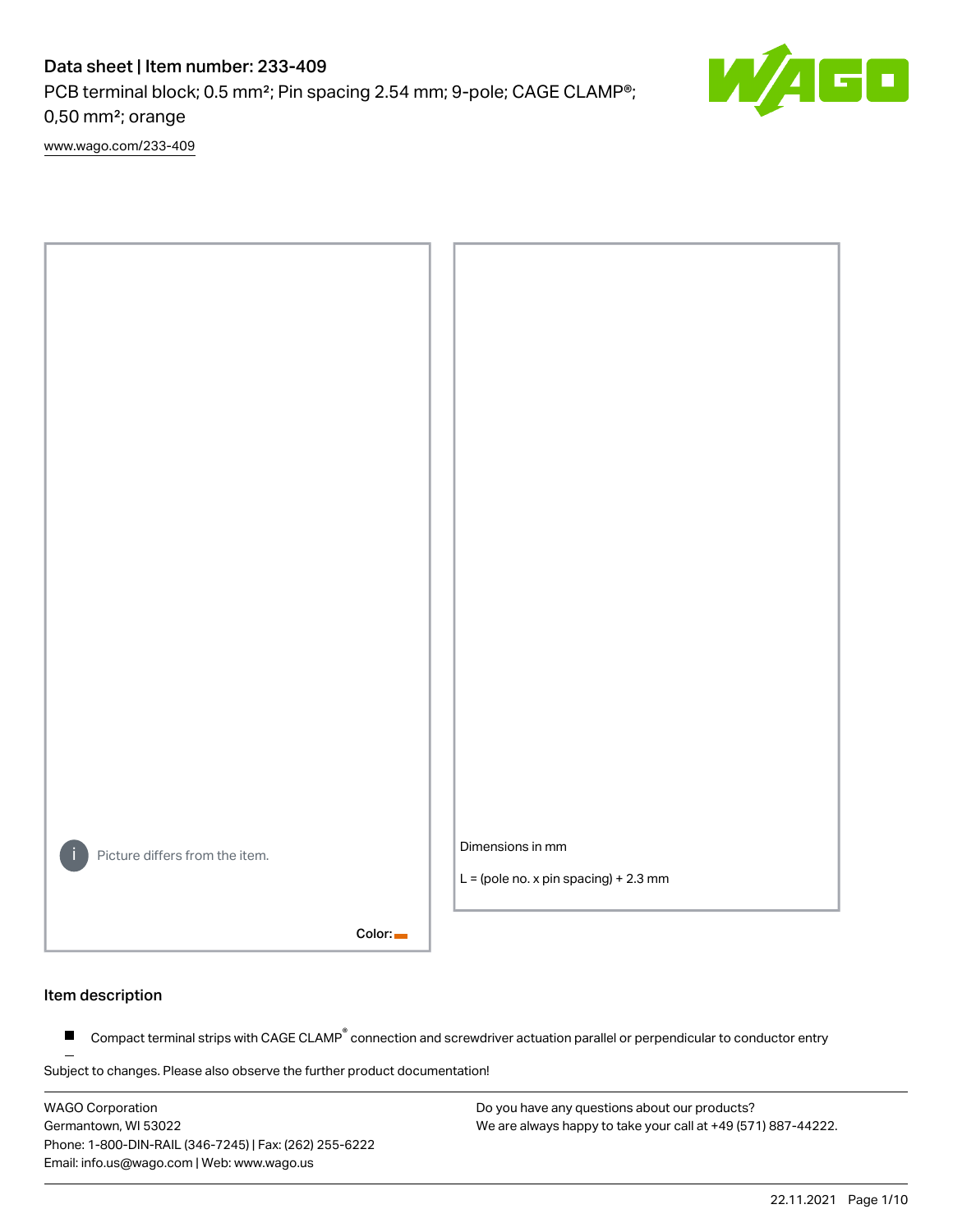PCB terminal block; 0.5 mm²; Pin spacing 2.54 mm; 9-pole; CAGE CLAMP®; 0,50 mm²; orange

[www.wago.com/233-409](http://www.wago.com/233-409)



#### Item description

Compact terminal strips with CAGE CLAMP<sup>®</sup> connection and screwdriver actuation parallel or perpendicular to conductor entry  $\blacksquare$ 

Subject to changes. Please also observe the further product documentation!

WAGO Corporation Germantown, WI 53022 Phone: 1-800-DIN-RAIL (346-7245) | Fax: (262) 255-6222 Email: info.us@wago.com | Web: www.wago.us

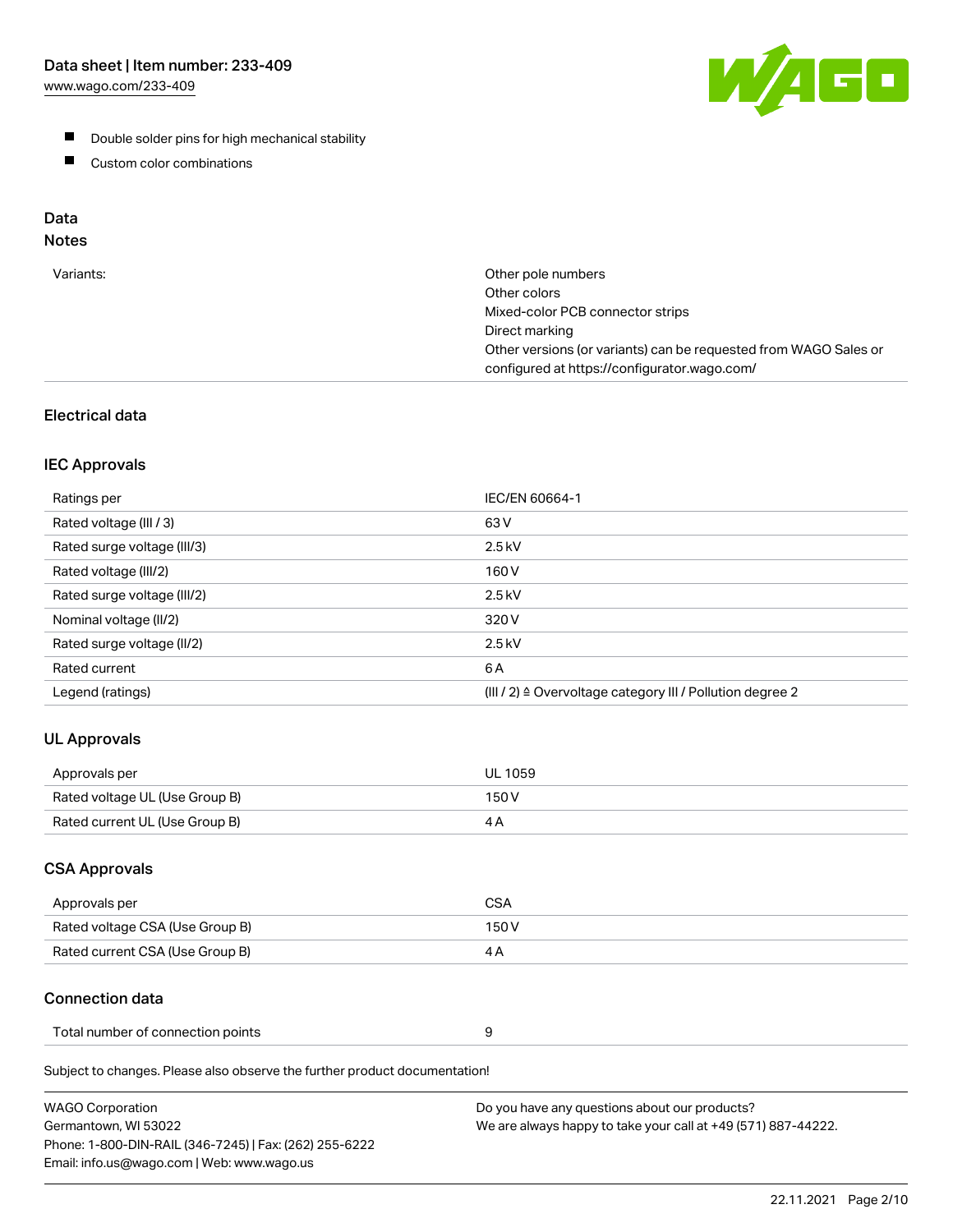[www.wago.com/233-409](http://www.wago.com/233-409)



- **Double solder pins for high mechanical stability**
- **Custom color combinations**

# Data

# Notes

| Variants: | Other pole numbers<br>Other colors<br>Mixed-color PCB connector strips<br>Direct marking<br>Other versions (or variants) can be requested from WAGO Sales or<br>configured at https://configurator.wago.com/ |
|-----------|--------------------------------------------------------------------------------------------------------------------------------------------------------------------------------------------------------------|
|           |                                                                                                                                                                                                              |

## Electrical data

#### IEC Approvals

| Ratings per                 | IEC/EN 60664-1                                                        |
|-----------------------------|-----------------------------------------------------------------------|
| Rated voltage (III / 3)     | 63 V                                                                  |
| Rated surge voltage (III/3) | $2.5$ kV                                                              |
| Rated voltage (III/2)       | 160 V                                                                 |
| Rated surge voltage (III/2) | $2.5$ kV                                                              |
| Nominal voltage (II/2)      | 320 V                                                                 |
| Rated surge voltage (II/2)  | $2.5$ kV                                                              |
| Rated current               | 6 A                                                                   |
| Legend (ratings)            | $(III / 2)$ $\triangle$ Overvoltage category III / Pollution degree 2 |

## UL Approvals

| Approvals per                  | UL 1059 |
|--------------------------------|---------|
| Rated voltage UL (Use Group B) | 150 V   |
| Rated current UL (Use Group B) |         |

### CSA Approvals

| Approvals per                   | CSA   |
|---------------------------------|-------|
| Rated voltage CSA (Use Group B) | 150 V |
| Rated current CSA (Use Group B) |       |

## Connection data

| Total number of connection points |  |
|-----------------------------------|--|
|-----------------------------------|--|

Subject to changes. Please also observe the further product documentation!

| <b>WAGO Corporation</b>                                | Do you have any questions about our products?                 |
|--------------------------------------------------------|---------------------------------------------------------------|
| Germantown, WI 53022                                   | We are always happy to take your call at +49 (571) 887-44222. |
| Phone: 1-800-DIN-RAIL (346-7245)   Fax: (262) 255-6222 |                                                               |
| Email: info.us@wago.com   Web: www.wago.us             |                                                               |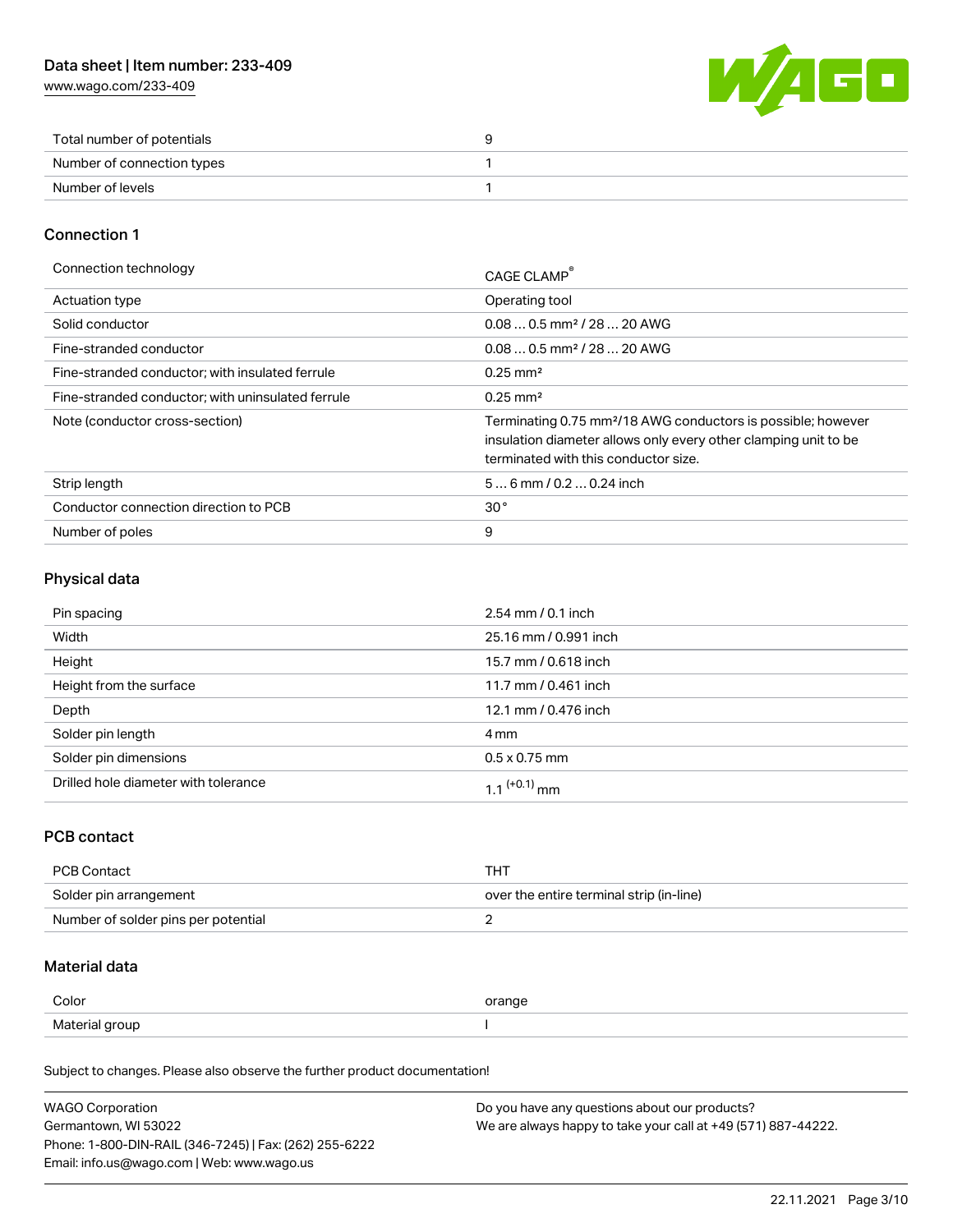[www.wago.com/233-409](http://www.wago.com/233-409)



| Total number of potentials |  |
|----------------------------|--|
| Number of connection types |  |
| Number of levels           |  |

#### Connection 1

| Connection technology                             | CAGE CLAMP                                                                                                                                                                          |
|---------------------------------------------------|-------------------------------------------------------------------------------------------------------------------------------------------------------------------------------------|
| Actuation type                                    | Operating tool                                                                                                                                                                      |
| Solid conductor                                   | $0.080.5$ mm <sup>2</sup> / 28  20 AWG                                                                                                                                              |
| Fine-stranded conductor                           | $0.080.5$ mm <sup>2</sup> / 28  20 AWG                                                                                                                                              |
| Fine-stranded conductor: with insulated ferrule   | $0.25 \text{ mm}^2$                                                                                                                                                                 |
| Fine-stranded conductor: with uninsulated ferrule | $0.25 \text{ mm}^2$                                                                                                                                                                 |
| Note (conductor cross-section)                    | Terminating 0.75 mm <sup>2</sup> /18 AWG conductors is possible; however<br>insulation diameter allows only every other clamping unit to be<br>terminated with this conductor size. |
| Strip length                                      | $56$ mm $/ 0.20.24$ inch                                                                                                                                                            |
| Conductor connection direction to PCB             | 30 <sup>o</sup>                                                                                                                                                                     |
| Number of poles                                   | 9                                                                                                                                                                                   |

#### Physical data

| Pin spacing                          | $2.54$ mm $/ 0.1$ inch |
|--------------------------------------|------------------------|
| Width                                | 25.16 mm / 0.991 inch  |
| Height                               | 15.7 mm / 0.618 inch   |
| Height from the surface              | 11.7 mm / 0.461 inch   |
| Depth                                | 12.1 mm / 0.476 inch   |
| Solder pin length                    | 4 mm                   |
| Solder pin dimensions                | $0.5 \times 0.75$ mm   |
| Drilled hole diameter with tolerance | 1 1 $(+0.1)$ mm        |

### PCB contact

| PCB Contact                         | THT                                      |
|-------------------------------------|------------------------------------------|
| Solder pin arrangement              | over the entire terminal strip (in-line) |
| Number of solder pins per potential |                                          |

### Material data

| Color          | orange |
|----------------|--------|
| Material group |        |

Subject to changes. Please also observe the further product documentation!

| <b>WAGO Corporation</b>                                | Do you have any questions about our products?                 |
|--------------------------------------------------------|---------------------------------------------------------------|
| Germantown, WI 53022                                   | We are always happy to take your call at +49 (571) 887-44222. |
| Phone: 1-800-DIN-RAIL (346-7245)   Fax: (262) 255-6222 |                                                               |
| Email: info.us@wago.com   Web: www.wago.us             |                                                               |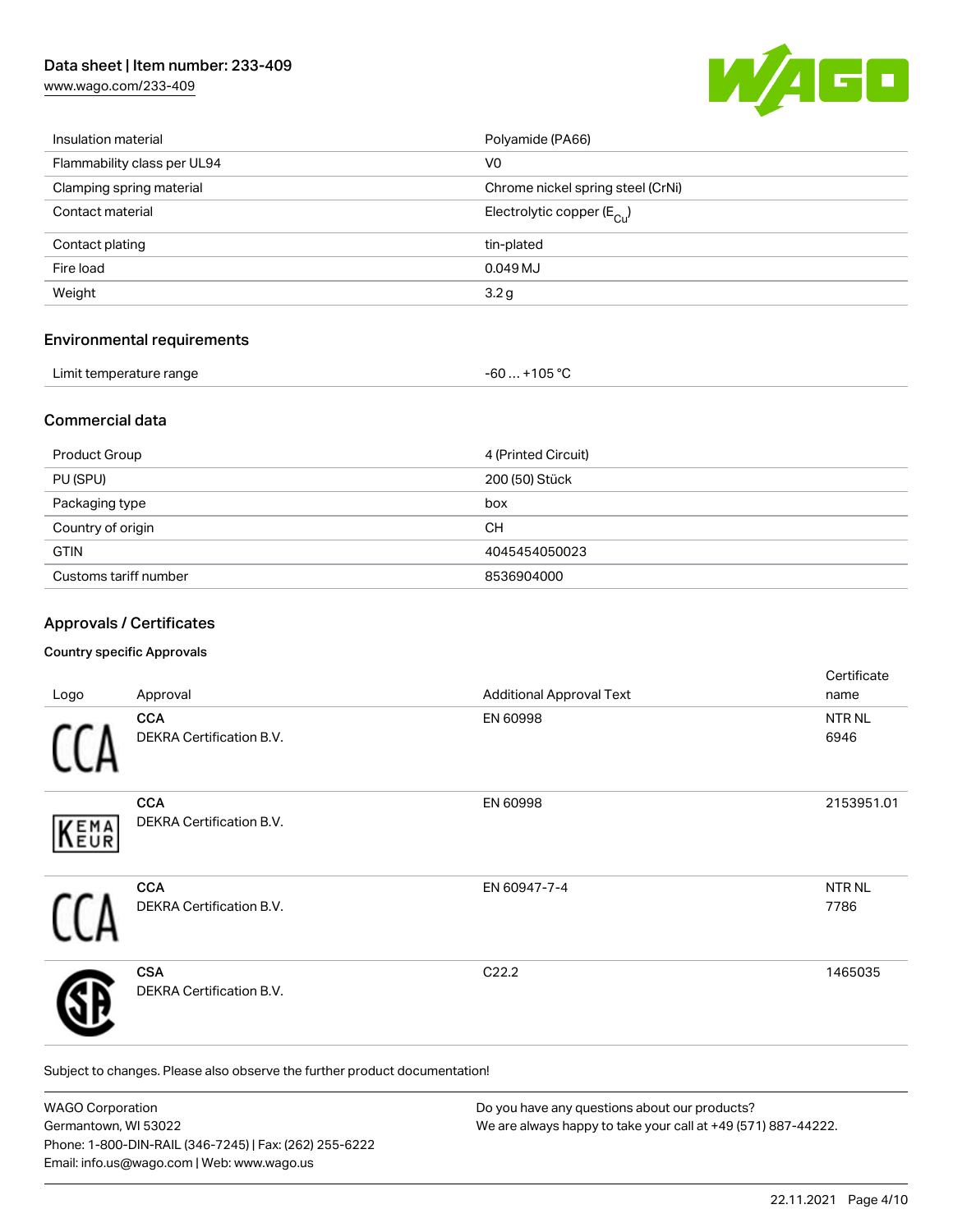[www.wago.com/233-409](http://www.wago.com/233-409)



| Insulation material         | Polyamide (PA66)                      |
|-----------------------------|---------------------------------------|
| Flammability class per UL94 | V <sub>0</sub>                        |
| Clamping spring material    | Chrome nickel spring steel (CrNi)     |
| Contact material            | Electrolytic copper $(E_{\text{Cl}})$ |
| Contact plating             | tin-plated                            |
| Fire load                   | 0.049MJ                               |
| Weight                      | 3.2 <sub>g</sub>                      |
|                             |                                       |

#### Environmental requirements

| Limit temperature range |
|-------------------------|
|-------------------------|

#### Commercial data

| <b>Product Group</b>  | 4 (Printed Circuit) |
|-----------------------|---------------------|
| PU (SPU)              | 200 (50) Stück      |
| Packaging type        | box                 |
| Country of origin     | CН                  |
| <b>GTIN</b>           | 4045454050023       |
| Customs tariff number | 8536904000          |

 $-60... +105 °C$ 

#### Approvals / Certificates

#### Country specific Approvals

| Logo | Approval                                      | <b>Additional Approval Text</b> | Certificate<br>name   |
|------|-----------------------------------------------|---------------------------------|-----------------------|
|      | <b>CCA</b><br><b>DEKRA Certification B.V.</b> | EN 60998                        | NTR NL<br>6946        |
| KEMA | <b>CCA</b><br>DEKRA Certification B.V.        | EN 60998                        | 2153951.01            |
|      | <b>CCA</b><br>DEKRA Certification B.V.        | EN 60947-7-4                    | <b>NTR NL</b><br>7786 |
|      | <b>CSA</b><br><b>DEKRA Certification B.V.</b> | C22.2                           | 1465035               |

Subject to changes. Please also observe the further product documentation!

| <b>WAGO Corporation</b>                                | Do you have any questions about our products?                 |
|--------------------------------------------------------|---------------------------------------------------------------|
| Germantown, WI 53022                                   | We are always happy to take your call at +49 (571) 887-44222. |
| Phone: 1-800-DIN-RAIL (346-7245)   Fax: (262) 255-6222 |                                                               |
| Email: info.us@wago.com   Web: www.wago.us             |                                                               |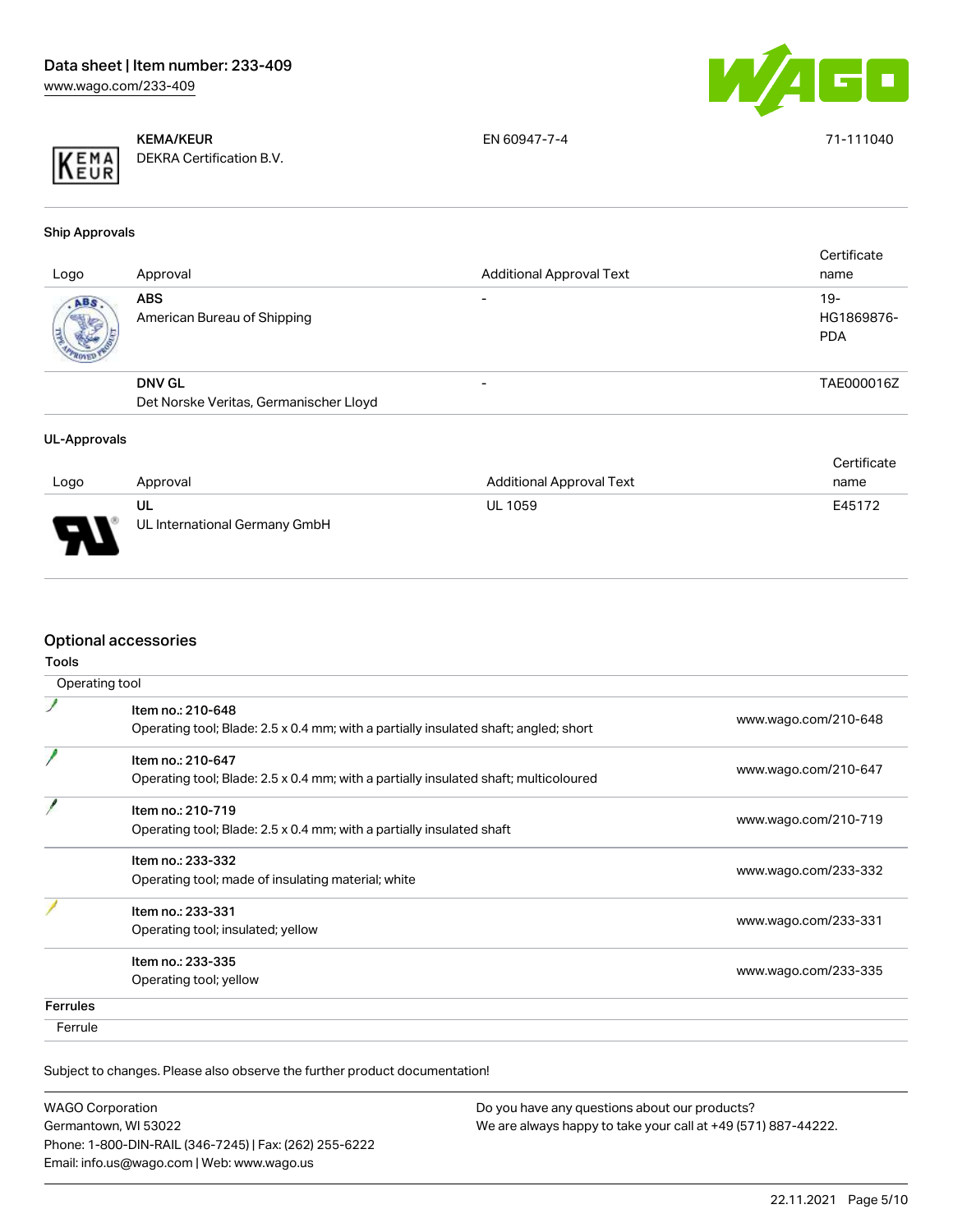



KEMA/KEUR DEKRA Certification B.V. EN 60947-7-4 71-111040

Ship Approvals

|      | <b>ABS</b>                                              |                          |                                   |
|------|---------------------------------------------------------|--------------------------|-----------------------------------|
| ABS. | American Bureau of Shipping                             | $\overline{\phantom{0}}$ | $19-$<br>HG1869876-<br><b>PDA</b> |
|      | <b>DNV GL</b><br>Det Norske Veritas, Germanischer Lloyd |                          | TAE000016Z                        |

#### UL-Approvals

|      |                               |                                 | Certificate |
|------|-------------------------------|---------------------------------|-------------|
| Logo | Approval                      | <b>Additional Approval Text</b> | name        |
|      | UL                            | <b>UL 1059</b>                  | E45172      |
| J    | UL International Germany GmbH |                                 |             |

## Optional accessories

|                 | Operating tool                                                                                            |                      |
|-----------------|-----------------------------------------------------------------------------------------------------------|----------------------|
|                 | Item no.: 210-648<br>Operating tool; Blade: 2.5 x 0.4 mm; with a partially insulated shaft; angled; short | www.wago.com/210-648 |
|                 | Item no.: 210-647<br>Operating tool; Blade: 2.5 x 0.4 mm; with a partially insulated shaft; multicoloured | www.wago.com/210-647 |
|                 | Item no.: 210-719<br>Operating tool; Blade: 2.5 x 0.4 mm; with a partially insulated shaft                | www.wago.com/210-719 |
|                 | Item no.: 233-332<br>Operating tool; made of insulating material; white                                   | www.wago.com/233-332 |
|                 | Item no.: 233-331<br>Operating tool; insulated; yellow                                                    | www.wago.com/233-331 |
|                 | Item no.: 233-335<br>Operating tool; yellow                                                               | www.wago.com/233-335 |
| <b>Ferrules</b> |                                                                                                           |                      |
| Ferrule         |                                                                                                           |                      |

Subject to changes. Please also observe the further product documentation!

| <b>WAGO Corporation</b>                                |  |
|--------------------------------------------------------|--|
| Germantown, WI 53022                                   |  |
| Phone: 1-800-DIN-RAIL (346-7245)   Fax: (262) 255-6222 |  |
| Email: info.us@wago.com   Web: www.wago.us             |  |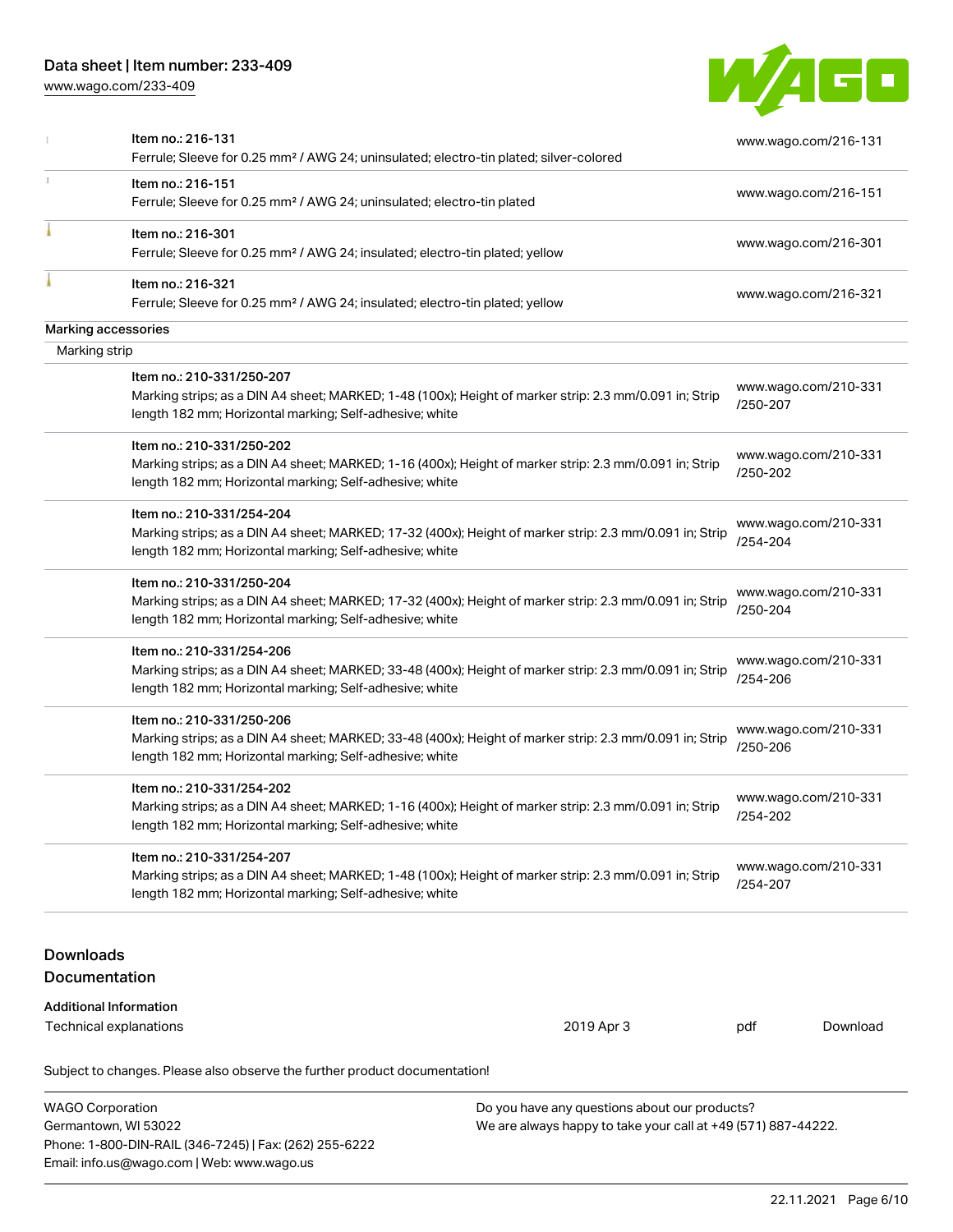Email: info.us@wago.com | Web: www.wago.us

[www.wago.com/233-409](http://www.wago.com/233-409)



|                                   | Item no.: 216-131<br>Ferrule; Sleeve for 0.25 mm <sup>2</sup> / AWG 24; uninsulated; electro-tin plated; silver-colored                                                                         |                                                                                                                |                                  | www.wago.com/216-131 |
|-----------------------------------|-------------------------------------------------------------------------------------------------------------------------------------------------------------------------------------------------|----------------------------------------------------------------------------------------------------------------|----------------------------------|----------------------|
|                                   | Item no.: 216-151<br>Ferrule; Sleeve for 0.25 mm <sup>2</sup> / AWG 24; uninsulated; electro-tin plated                                                                                         |                                                                                                                |                                  | www.wago.com/216-151 |
|                                   | Item no.: 216-301<br>Ferrule; Sleeve for 0.25 mm <sup>2</sup> / AWG 24; insulated; electro-tin plated; yellow                                                                                   |                                                                                                                |                                  | www.wago.com/216-301 |
|                                   | Item no.: 216-321<br>Ferrule; Sleeve for 0.25 mm <sup>2</sup> / AWG 24; insulated; electro-tin plated; yellow                                                                                   |                                                                                                                |                                  | www.wago.com/216-321 |
|                                   | Marking accessories                                                                                                                                                                             |                                                                                                                |                                  |                      |
| Marking strip                     |                                                                                                                                                                                                 |                                                                                                                |                                  |                      |
|                                   | Item no.: 210-331/250-207<br>Marking strips; as a DIN A4 sheet; MARKED; 1-48 (100x); Height of marker strip: 2.3 mm/0.091 in; Strip<br>length 182 mm; Horizontal marking; Self-adhesive; white  |                                                                                                                | /250-207                         | www.wago.com/210-331 |
|                                   | Item no.: 210-331/250-202<br>Marking strips; as a DIN A4 sheet; MARKED; 1-16 (400x); Height of marker strip: 2.3 mm/0.091 in; Strip<br>length 182 mm; Horizontal marking; Self-adhesive; white  |                                                                                                                | /250-202                         | www.wago.com/210-331 |
|                                   | Item no.: 210-331/254-204<br>Marking strips; as a DIN A4 sheet; MARKED; 17-32 (400x); Height of marker strip: 2.3 mm/0.091 in; Strip<br>length 182 mm; Horizontal marking; Self-adhesive; white |                                                                                                                | /254-204                         | www.wago.com/210-331 |
|                                   | Item no.: 210-331/250-204<br>Marking strips; as a DIN A4 sheet; MARKED; 17-32 (400x); Height of marker strip: 2.3 mm/0.091 in; Strip<br>length 182 mm; Horizontal marking; Self-adhesive; white |                                                                                                                | /250-204                         | www.wago.com/210-331 |
|                                   | Item no.: 210-331/254-206<br>Marking strips; as a DIN A4 sheet; MARKED; 33-48 (400x); Height of marker strip: 2.3 mm/0.091 in; Strip<br>length 182 mm; Horizontal marking; Self-adhesive; white |                                                                                                                | www.wago.com/210-331<br>/254-206 |                      |
|                                   | Item no.: 210-331/250-206<br>Marking strips; as a DIN A4 sheet; MARKED; 33-48 (400x); Height of marker strip: 2.3 mm/0.091 in; Strip<br>length 182 mm; Horizontal marking; Self-adhesive; white |                                                                                                                | www.wago.com/210-331<br>/250-206 |                      |
|                                   | Item no.: 210-331/254-202<br>Marking strips; as a DIN A4 sheet; MARKED; 1-16 (400x); Height of marker strip: 2.3 mm/0.091 in; Strip<br>length 182 mm; Horizontal marking; Self-adhesive; white  |                                                                                                                | www.wago.com/210-331<br>/254-202 |                      |
|                                   | ltem no.: 210-331/254-207<br>Marking strips; as a DIN A4 sheet; MARKED; 1-48 (100x); Height of marker strip: 2.3 mm/0.091 in; Strip<br>length 182 mm; Horizontal marking; Self-adhesive; white  |                                                                                                                | /254-207                         | www.wago.com/210-331 |
| <b>Downloads</b><br>Documentation |                                                                                                                                                                                                 |                                                                                                                |                                  |                      |
|                                   | <b>Additional Information</b><br>Technical explanations                                                                                                                                         | 2019 Apr 3                                                                                                     | pdf                              | Download             |
|                                   | Subject to changes. Please also observe the further product documentation!                                                                                                                      |                                                                                                                |                                  |                      |
| <b>WAGO Corporation</b>           | Germantown, WI 53022<br>Phone: 1-800-DIN-RAIL (346-7245)   Fax: (262) 255-6222                                                                                                                  | Do you have any questions about our products?<br>We are always happy to take your call at +49 (571) 887-44222. |                                  |                      |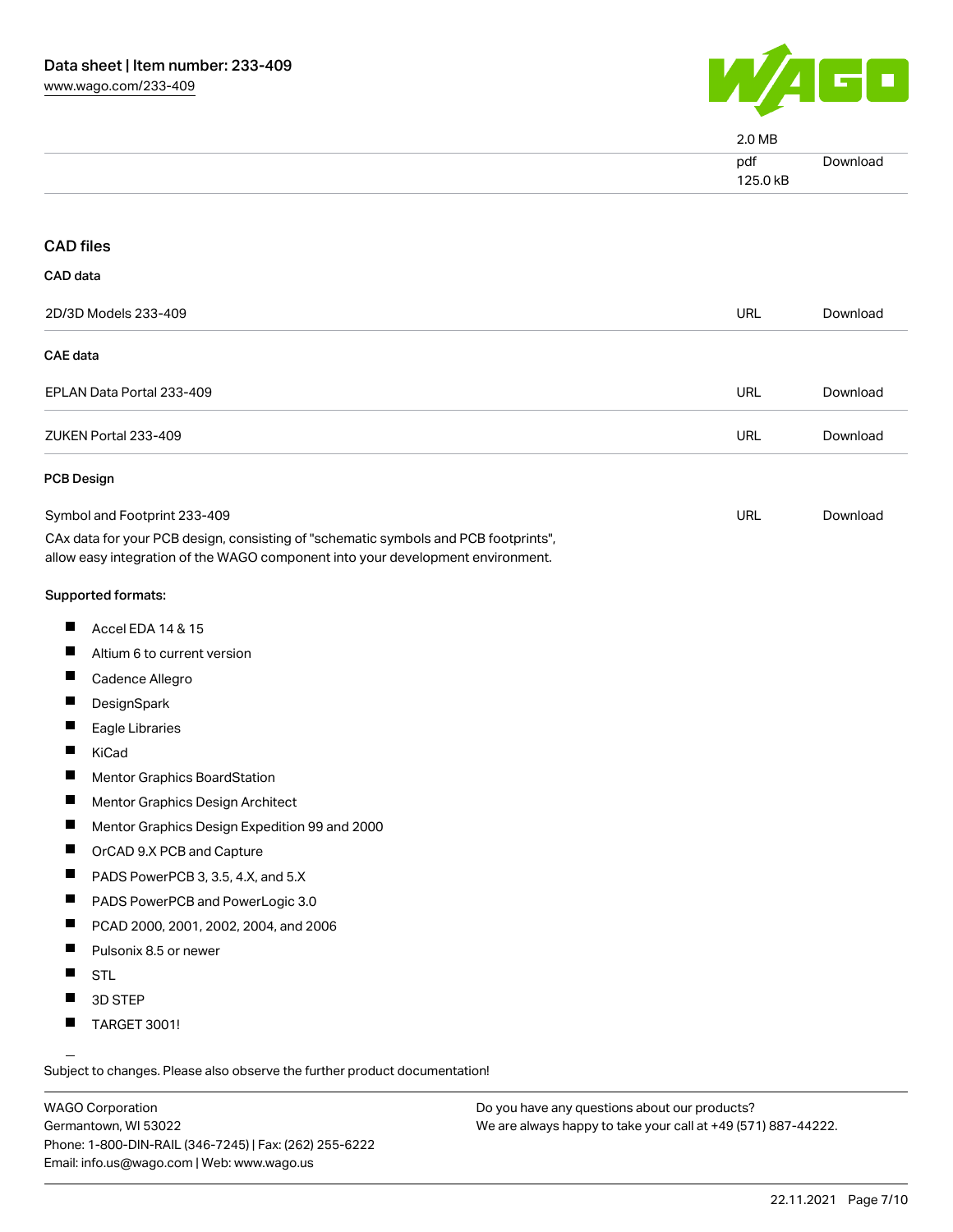

|                                                                                                                                                                        | 2.0 MB          |          |
|------------------------------------------------------------------------------------------------------------------------------------------------------------------------|-----------------|----------|
|                                                                                                                                                                        | pdf<br>125.0 kB | Download |
|                                                                                                                                                                        |                 |          |
| <b>CAD files</b>                                                                                                                                                       |                 |          |
| CAD data                                                                                                                                                               |                 |          |
| 2D/3D Models 233-409                                                                                                                                                   | <b>URL</b>      | Download |
| <b>CAE</b> data                                                                                                                                                        |                 |          |
| EPLAN Data Portal 233-409                                                                                                                                              | <b>URL</b>      | Download |
| ZUKEN Portal 233-409                                                                                                                                                   | <b>URL</b>      | Download |
| <b>PCB Design</b>                                                                                                                                                      |                 |          |
| Symbol and Footprint 233-409                                                                                                                                           | <b>URL</b>      | Download |
| CAx data for your PCB design, consisting of "schematic symbols and PCB footprints",<br>allow easy integration of the WAGO component into your development environment. |                 |          |
| Supported formats:                                                                                                                                                     |                 |          |
| ш<br>Accel EDA 14 & 15                                                                                                                                                 |                 |          |
| Ш<br>Altium 6 to current version                                                                                                                                       |                 |          |
| ш<br>Cadence Allegro                                                                                                                                                   |                 |          |
| ш<br>DesignSpark                                                                                                                                                       |                 |          |
| H.<br>Eagle Libraries                                                                                                                                                  |                 |          |
| П<br>KiCad                                                                                                                                                             |                 |          |
| Mentor Graphics BoardStation<br>ш                                                                                                                                      |                 |          |
| Mentor Graphics Design Architect                                                                                                                                       |                 |          |
| Mentor Graphics Design Expedition 99 and 2000                                                                                                                          |                 |          |
| Ш<br>OrCAD 9.X PCB and Capture                                                                                                                                         |                 |          |
| Ш<br>PADS PowerPCB 3, 3.5, 4.X, and 5.X                                                                                                                                |                 |          |
| ш<br>PADS PowerPCB and PowerLogic 3.0                                                                                                                                  |                 |          |
| ш<br>PCAD 2000, 2001, 2002, 2004, and 2006                                                                                                                             |                 |          |
| Ш<br>Pulsonix 8.5 or newer                                                                                                                                             |                 |          |
| ш<br><b>STL</b>                                                                                                                                                        |                 |          |
| 3D STEP                                                                                                                                                                |                 |          |
| $\blacksquare$ TARGET 3001!                                                                                                                                            |                 |          |

TARGET 3001!

Subject to changes. Please also observe the further product documentation!

WAGO Corporation Germantown, WI 53022 Phone: 1-800-DIN-RAIL (346-7245) | Fax: (262) 255-6222 Email: info.us@wago.com | Web: www.wago.us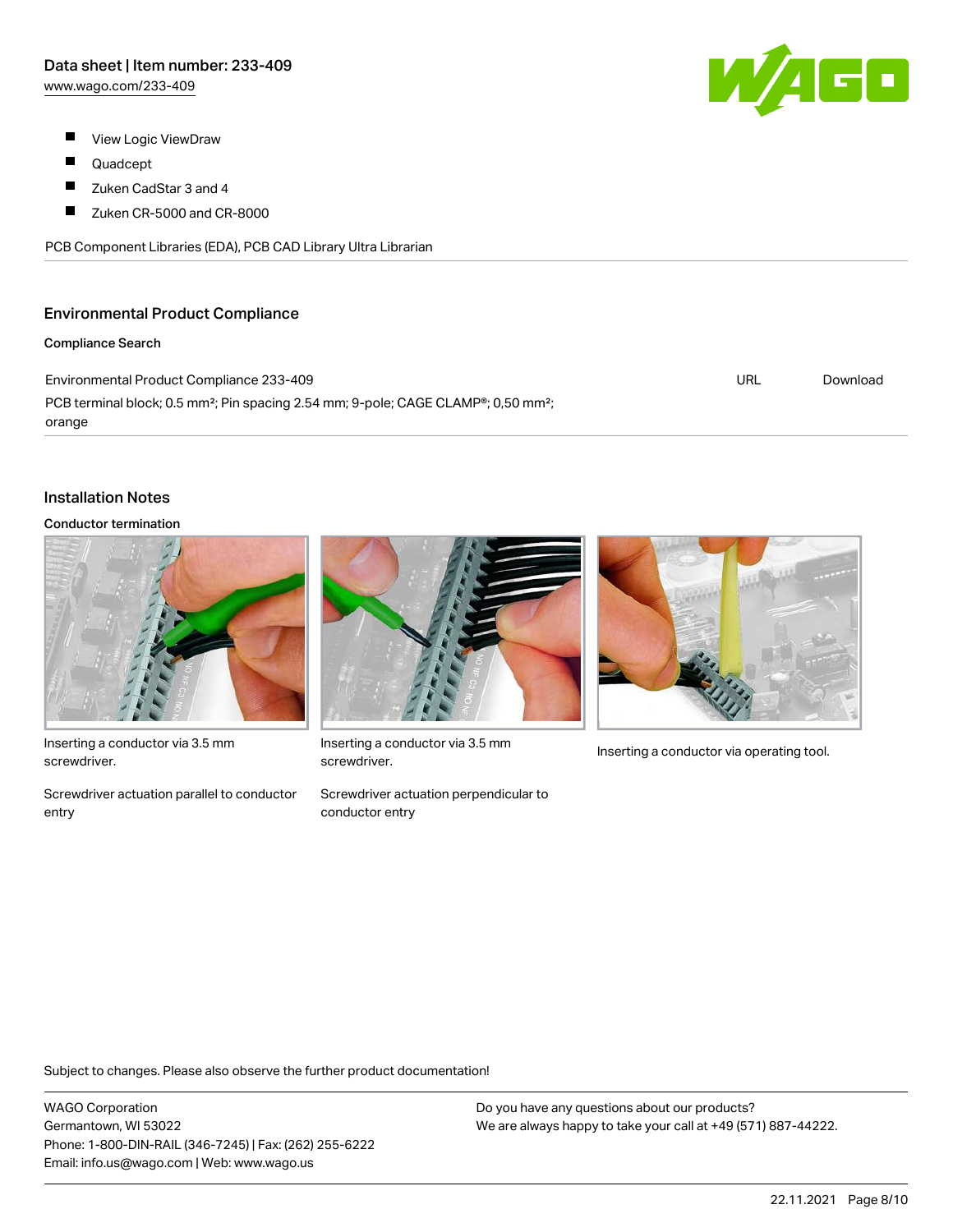- $\blacksquare$ View Logic ViewDraw
- П Quadcept
- $\blacksquare$ Zuken CadStar 3 and 4
- $\blacksquare$ Zuken CR-5000 and CR-8000

PCB Component Libraries (EDA), PCB CAD Library Ultra Librarian

### Environmental Product Compliance

#### Compliance Search

Environmental Product Compliance 233-409 PCB terminal block; 0.5 mm²; Pin spacing 2.54 mm; 9-pole; CAGE CLAMP®; 0,50 mm²; orange URL [Download](https://www.wago.com/global/d/ComplianceLinkMediaContainer_233-409)

#### Installation Notes

#### Conductor termination



Inserting a conductor via 3.5 mm screwdriver.

Screwdriver actuation parallel to conductor entry



Inserting a conductor via 3.5 mm<br>Inserting a conductor via operating tool. screwdriver.

Screwdriver actuation perpendicular to conductor entry



Subject to changes. Please also observe the further product documentation!

WAGO Corporation Germantown, WI 53022 Phone: 1-800-DIN-RAIL (346-7245) | Fax: (262) 255-6222 Email: info.us@wago.com | Web: www.wago.us

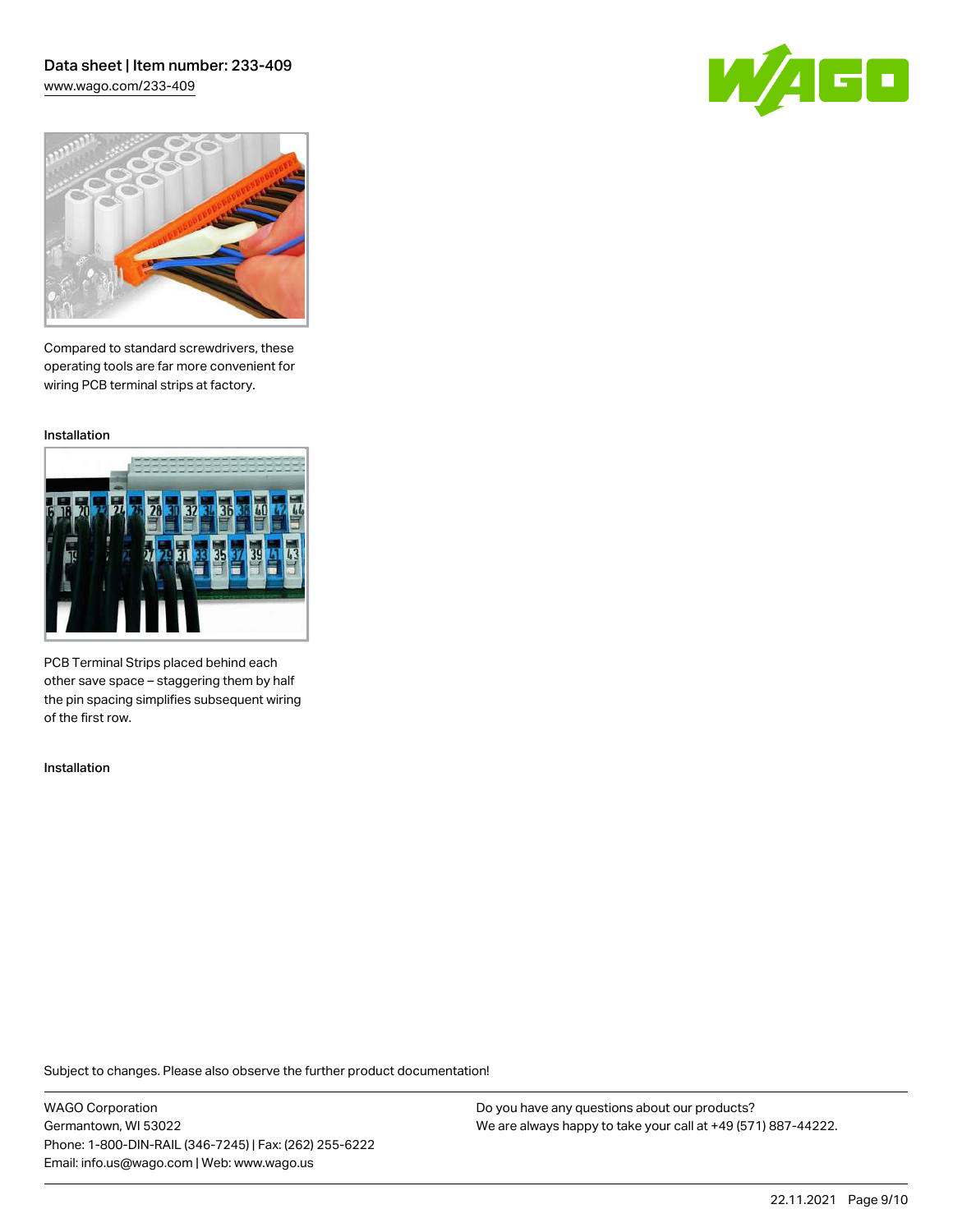### Data sheet | Item number: 233-409 [www.wago.com/233-409](http://www.wago.com/233-409)

GO



Compared to standard screwdrivers, these operating tools are far more convenient for wiring PCB terminal strips at factory.

Installation



PCB Terminal Strips placed behind each other save space – staggering them by half the pin spacing simplifies subsequent wiring of the first row.

Installation

Subject to changes. Please also observe the further product documentation!

WAGO Corporation Germantown, WI 53022 Phone: 1-800-DIN-RAIL (346-7245) | Fax: (262) 255-6222 Email: info.us@wago.com | Web: www.wago.us